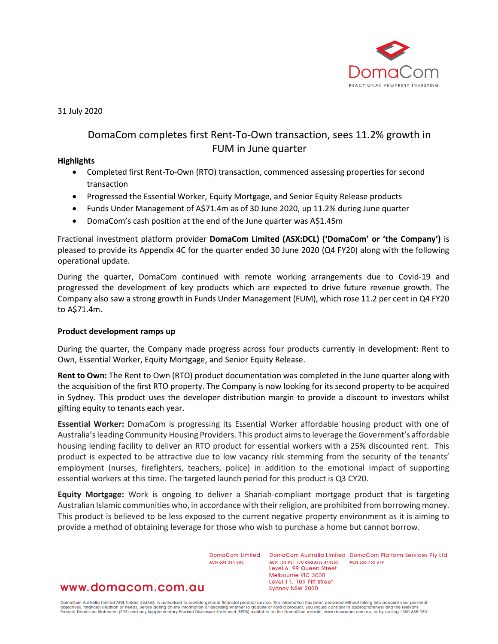

31 July 2020

# DomaCom completes first Rent-To-Own transaction, sees 11.2% growth in FUM in June quarter

#### **Highlights**

- Completed first Rent-To-Own (RTO) transaction, commenced assessing properties for second transaction
- Progressed the Essential Worker, Equity Mortgage, and Senior Equity Release products
- Funds Under Management of A\$71.4m as of 30 June 2020, up 11.2% during June quarter
- DomaCom's cash position at the end of the June quarter was A\$1.45m

Fractional investment platform provider **DomaCom Limited (ASX:DCL) ('DomaCom' or 'the Company')** is pleased to provide its Appendix 4C for the quarter ended 30 June 2020 (Q4 FY20) along with the following operational update.

During the quarter, DomaCom continued with remote working arrangements due to Covid-19 and progressed the development of key products which are expected to drive future revenue growth. The Company also saw a strong growth in Funds Under Management (FUM), which rose 11.2 per cent in Q4 FY20 to A\$71.4m.

#### **Product development ramps up**

During the quarter, the Company made progress across four products currently in development: Rent to Own, Essential Worker, Equity Mortgage, and Senior Equity Release.

**Rent to Own:** The Rent to Own (RTO) product documentation was completed in the June quarter along with the acquisition of the first RTO property. The Company is now looking for its second property to be acquired in Sydney. This product uses the developer distribution margin to provide a discount to investors whilst gifting equity to tenants each year.

**Essential Worker:** DomaCom is progressing its Essential Worker affordable housing product with one of Australia's leading Community Housing Providers. This product aims to leverage the Government's affordable housing lending facility to deliver an RTO product for essential workers with a 25% discounted rent. This product is expected to be attractive due to low vacancy risk stemming from the security of the tenants' employment (nurses, firefighters, teachers, police) in addition to the emotional impact of supporting essential workers at this time. The targeted launch period for this product is Q3 CY20.

**Equity Mortgage:** Work is ongoing to deliver a Shariah-compliant mortgage product that is targeting Australian Islamic communities who, in accordance with their religion, are prohibited from borrowing money. This product is believed to be less exposed to the current negative property environment as it is aiming to provide a method of obtaining leverage for those who wish to purchase a home but cannot borrow.

ACN 604 384 885

DomaCom Limited DomaCom Australia Limited DomaCom Platform Services Pty Ltd ACN 153 951 770 and AFSL 444365 ACN 606 755 319 Level 6, 99 Queen Street Melbourne VIC 3000 Level 11, 109 Pitt Street Sydney NSW 2000

# www.domacom.com.au

DomaCom Australia Limited AFSL holder 444365, is authorised to provide general financial product advice. This information has been prepared without taking into account your personal<br>objectives, financial situation or needs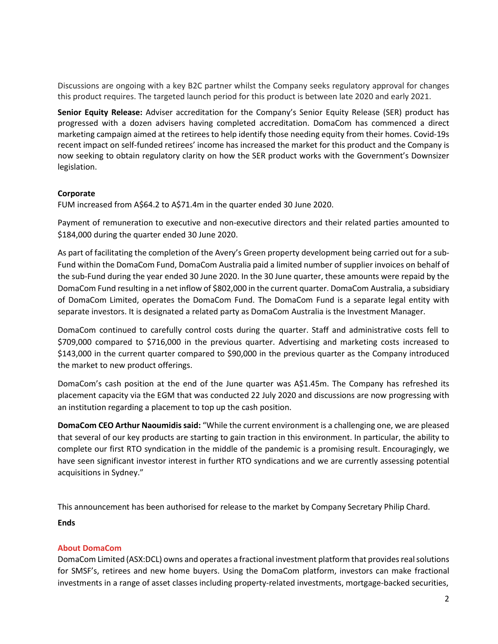Discussions are ongoing with a key B2C partner whilst the Company seeks regulatory approval for changes this product requires. The targeted launch period for this product is between late 2020 and early 2021.

**Senior Equity Release:** Adviser accreditation for the Company's Senior Equity Release (SER) product has progressed with a dozen advisers having completed accreditation. DomaCom has commenced a direct marketing campaign aimed at the retirees to help identify those needing equity from their homes. Covid-19s recent impact on self-funded retirees' income has increased the market for this product and the Company is now seeking to obtain regulatory clarity on how the SER product works with the Government's Downsizer legislation.

### **Corporate**

FUM increased from A\$64.2 to A\$71.4m in the quarter ended 30 June 2020.

Payment of remuneration to executive and non-executive directors and their related parties amounted to \$184,000 during the quarter ended 30 June 2020.

As part of facilitating the completion of the Avery's Green property development being carried out for a sub-Fund within the DomaCom Fund, DomaCom Australia paid a limited number of supplier invoices on behalf of the sub-Fund during the year ended 30 June 2020. In the 30 June quarter, these amounts were repaid by the DomaCom Fund resulting in a net inflow of \$802,000 in the current quarter. DomaCom Australia, a subsidiary of DomaCom Limited, operates the DomaCom Fund. The DomaCom Fund is a separate legal entity with separate investors. It is designated a related party as DomaCom Australia is the Investment Manager.

DomaCom continued to carefully control costs during the quarter. Staff and administrative costs fell to \$709,000 compared to \$716,000 in the previous quarter. Advertising and marketing costs increased to \$143,000 in the current quarter compared to \$90,000 in the previous quarter as the Company introduced the market to new product offerings.

DomaCom's cash position at the end of the June quarter was A\$1.45m. The Company has refreshed its placement capacity via the EGM that was conducted 22 July 2020 and discussions are now progressing with an institution regarding a placement to top up the cash position.

**DomaCom CEO Arthur Naoumidis said:** "While the current environment is a challenging one, we are pleased that several of our key products are starting to gain traction in this environment. In particular, the ability to complete our first RTO syndication in the middle of the pandemic is a promising result. Encouragingly, we have seen significant investor interest in further RTO syndications and we are currently assessing potential acquisitions in Sydney."

This announcement has been authorised for release to the market by Company Secretary Philip Chard.

## **Ends**

## **About DomaCom**

DomaCom Limited (ASX:DCL) owns and operates a fractional investment platform that provides real solutions for SMSF's, retirees and new home buyers. Using the DomaCom platform, investors can make fractional investments in a range of asset classes including property-related investments, mortgage-backed securities,